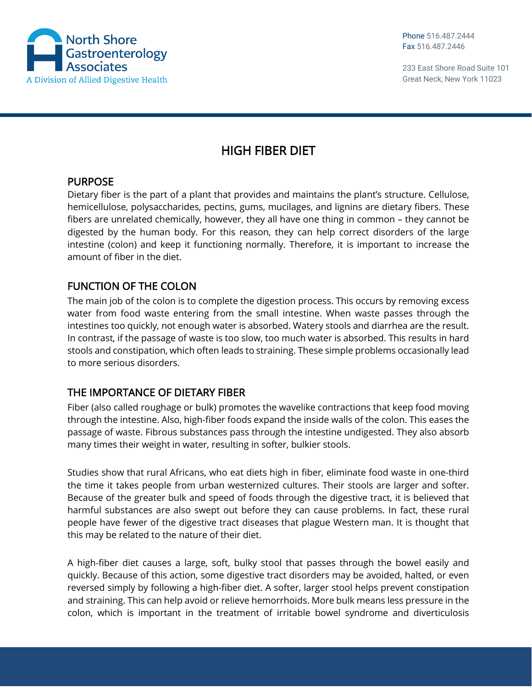

233 East Shore Road Suite 101 Great Neck, New York 11023

# HIGH FIBER DIET

#### **PURPOSE**

Dietary fiber is the part of a plant that provides and maintains the plant's structure. Cellulose, hemicellulose, polysaccharides, pectins, gums, mucilages, and lignins are dietary fibers. These fibers are unrelated chemically, however, they all have one thing in common – they cannot be digested by the human body. For this reason, they can help correct disorders of the large intestine (colon) and keep it functioning normally. Therefore, it is important to increase the amount of fiber in the diet.

#### FUNCTION OF THE COLON

The main job of the colon is to complete the digestion process. This occurs by removing excess water from food waste entering from the small intestine. When waste passes through the intestines too quickly, not enough water is absorbed. Watery stools and diarrhea are the result. In contrast, if the passage of waste is too slow, too much water is absorbed. This results in hard stools and constipation, which often leads to straining. These simple problems occasionally lead to more serious disorders.

### THE IMPORTANCE OF DIETARY FIBER

Fiber (also called roughage or bulk) promotes the wavelike contractions that keep food moving through the intestine. Also, high-fiber foods expand the inside walls of the colon. This eases the passage of waste. Fibrous substances pass through the intestine undigested. They also absorb many times their weight in water, resulting in softer, bulkier stools.

Studies show that rural Africans, who eat diets high in fiber, eliminate food waste in one-third the time it takes people from urban westernized cultures. Their stools are larger and softer. Because of the greater bulk and speed of foods through the digestive tract, it is believed that harmful substances are also swept out before they can cause problems. In fact, these rural people have fewer of the digestive tract diseases that plague Western man. It is thought that this may be related to the nature of their diet.

A high-fiber diet causes a large, soft, bulky stool that passes through the bowel easily and quickly. Because of this action, some digestive tract disorders may be avoided, halted, or even reversed simply by following a high-fiber diet. A softer, larger stool helps prevent constipation and straining. This can help avoid or relieve hemorrhoids. More bulk means less pressure in the colon, which is important in the treatment of irritable bowel syndrome and diverticulosis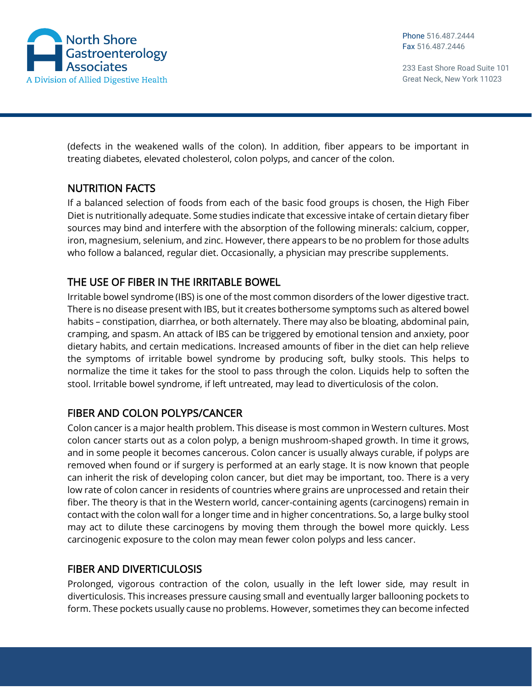

233 East Shore Road Suite 101 Great Neck, New York 11023

(defects in the weakened walls of the colon). In addition, fiber appears to be important in treating diabetes, elevated cholesterol, colon polyps, and cancer of the colon.

#### NUTRITION FACTS

If a balanced selection of foods from each of the basic food groups is chosen, the High Fiber Diet is nutritionally adequate. Some studies indicate that excessive intake of certain dietary fiber sources may bind and interfere with the absorption of the following minerals: calcium, copper, iron, magnesium, selenium, and zinc. However, there appears to be no problem for those adults who follow a balanced, regular diet. Occasionally, a physician may prescribe supplements.

### THE USE OF FIBER IN THE IRRITABLE BOWEL

Irritable bowel syndrome (IBS) is one of the most common disorders of the lower digestive tract. There is no disease present with IBS, but it creates bothersome symptoms such as altered bowel habits – constipation, diarrhea, or both alternately. There may also be bloating, abdominal pain, cramping, and spasm. An attack of IBS can be triggered by emotional tension and anxiety, poor dietary habits, and certain medications. Increased amounts of fiber in the diet can help relieve the symptoms of irritable bowel syndrome by producing soft, bulky stools. This helps to normalize the time it takes for the stool to pass through the colon. Liquids help to soften the stool. Irritable bowel syndrome, if left untreated, may lead to diverticulosis of the colon.

### FIBER AND COLON POLYPS/CANCER

Colon cancer is a major health problem. This disease is most common in Western cultures. Most colon cancer starts out as a colon polyp, a benign mushroom-shaped growth. In time it grows, and in some people it becomes cancerous. Colon cancer is usually always curable, if polyps are removed when found or if surgery is performed at an early stage. It is now known that people can inherit the risk of developing colon cancer, but diet may be important, too. There is a very low rate of colon cancer in residents of countries where grains are unprocessed and retain their fiber. The theory is that in the Western world, cancer-containing agents (carcinogens) remain in contact with the colon wall for a longer time and in higher concentrations. So, a large bulky stool may act to dilute these carcinogens by moving them through the bowel more quickly. Less carcinogenic exposure to the colon may mean fewer colon polyps and less cancer.

### FIBER AND DIVERTICULOSIS

Prolonged, vigorous contraction of the colon, usually in the left lower side, may result in diverticulosis. This increases pressure causing small and eventually larger ballooning pockets to form. These pockets usually cause no problems. However, sometimes they can become infected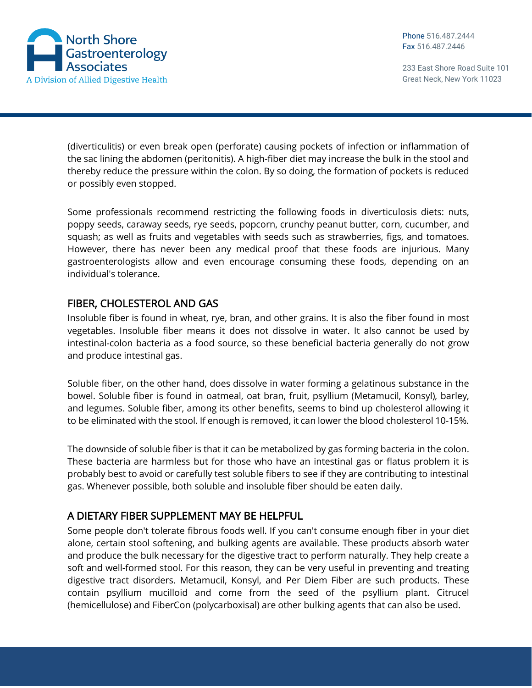

(diverticulitis) or even break open (perforate) causing pockets of infection or inflammation of the sac lining the abdomen (peritonitis). A high-fiber diet may increase the bulk in the stool and thereby reduce the pressure within the colon. By so doing, the formation of pockets is reduced or possibly even stopped.

Some professionals recommend restricting the following foods in diverticulosis diets: nuts, poppy seeds, caraway seeds, rye seeds, popcorn, crunchy peanut butter, corn, cucumber, and squash; as well as fruits and vegetables with seeds such as strawberries, figs, and tomatoes. However, there has never been any medical proof that these foods are injurious. Many gastroenterologists allow and even encourage consuming these foods, depending on an individual's tolerance.

#### FIBER, CHOLESTEROL AND GAS

Insoluble fiber is found in wheat, rye, bran, and other grains. It is also the fiber found in most vegetables. Insoluble fiber means it does not dissolve in water. It also cannot be used by intestinal-colon bacteria as a food source, so these beneficial bacteria generally do not grow and produce intestinal gas.

Soluble fiber, on the other hand, does dissolve in water forming a gelatinous substance in the bowel. Soluble fiber is found in oatmeal, oat bran, fruit, psyllium (Metamucil, Konsyl), barley, and legumes. Soluble fiber, among its other benefits, seems to bind up cholesterol allowing it to be eliminated with the stool. If enough is removed, it can lower the blood cholesterol 10-15%.

The downside of soluble fiber is that it can be metabolized by gas forming bacteria in the colon. These bacteria are harmless but for those who have an intestinal gas or flatus problem it is probably best to avoid or carefully test soluble fibers to see if they are contributing to intestinal gas. Whenever possible, both soluble and insoluble fiber should be eaten daily.

#### A DIETARY FIBER SUPPLEMENT MAY BE HELPFUL

Some people don't tolerate fibrous foods well. If you can't consume enough fiber in your diet alone, certain stool softening, and bulking agents are available. These products absorb water and produce the bulk necessary for the digestive tract to perform naturally. They help create a soft and well-formed stool. For this reason, they can be very useful in preventing and treating digestive tract disorders. Metamucil, Konsyl, and Per Diem Fiber are such products. These contain psyllium mucilloid and come from the seed of the psyllium plant. Citrucel (hemicellulose) and FiberCon (polycarboxisal) are other bulking agents that can also be used.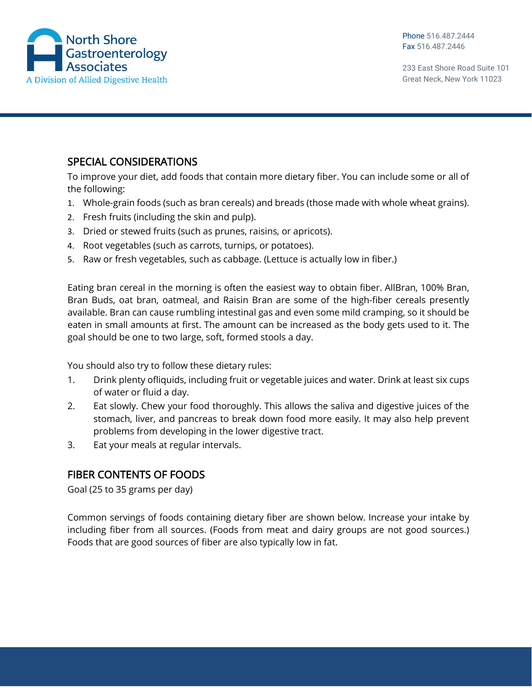

### SPECIAL CONSIDERATIONS

To improve your diet, add foods that contain more dietary fiber. You can include some or all of the following:

- 1. Whole-grain foods (such as bran cereals) and breads (those made with whole wheat grains).
- 2. Fresh fruits (including the skin and pulp).
- 3. Dried or stewed fruits (such as prunes, raisins, or apricots).
- 4. Root vegetables (such as carrots, turnips, or potatoes).
- 5. Raw or fresh vegetables, such as cabbage. (Lettuce is actually low in fiber.)

Eating bran cereal in the morning is often the easiest way to obtain fiber. AllBran, 100% Bran, Bran Buds, oat bran, oatmeal, and Raisin Bran are some of the high-fiber cereals presently available. Bran can cause rumbling intestinal gas and even some mild cramping, so it should be eaten in small amounts at first. The amount can be increased as the body gets used to it. The goal should be one to two large, soft, formed stools a day.

You should also try to follow these dietary rules:

- 1. Drink plenty ofliquids, including fruit or vegetable juices and water. Drink at least six cups of water or fluid a day.
- 2. Eat slowly. Chew your food thoroughly. This allows the saliva and digestive juices of the stomach, liver, and pancreas to break down food more easily. It may also help prevent problems from developing in the lower digestive tract.
- 3. Eat your meals at regular intervals.

## FIBER CONTENTS OF FOODS

Goal (25 to 35 grams per day)

Common servings of foods containing dietary fiber are shown below. Increase your intake by including fiber from all sources. (Foods from meat and dairy groups are not good sources.) Foods that are good sources of fiber are also typically low in fat.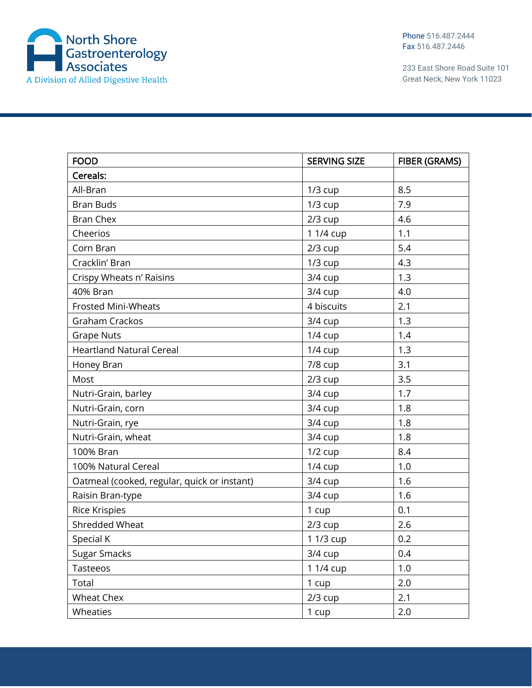

| <b>FOOD</b>                                 | <b>SERVING SIZE</b> | <b>FIBER (GRAMS)</b> |
|---------------------------------------------|---------------------|----------------------|
| Cereals:                                    |                     |                      |
| All-Bran                                    | $1/3$ cup           | 8.5                  |
| <b>Bran Buds</b>                            | $1/3$ cup           | 7.9                  |
| <b>Bran Chex</b>                            | $2/3$ cup           | 4.6                  |
| Cheerios                                    | 1 1/4 cup           | 1.1                  |
| Corn Bran                                   | $2/3$ cup           | 5.4                  |
| Cracklin' Bran                              | $1/3$ cup           | 4.3                  |
| Crispy Wheats n' Raisins                    | 3/4 cup             | 1.3                  |
| <b>40% Bran</b>                             | 3/4 cup             | 4.0                  |
| <b>Frosted Mini-Wheats</b>                  | 4 biscuits          | 2.1                  |
| Graham Crackos                              | 3/4 cup             | 1.3                  |
| <b>Grape Nuts</b>                           | $1/4$ cup           | 1.4                  |
| <b>Heartland Natural Cereal</b>             | 1/4 cup             | 1.3                  |
| Honey Bran                                  | 7/8 cup             | 3.1                  |
| Most                                        | $2/3$ cup           | 3.5                  |
| Nutri-Grain, barley                         | 3/4 cup             | 1.7                  |
| Nutri-Grain, corn                           | 3/4 cup             | 1.8                  |
| Nutri-Grain, rye                            | 3/4 cup             | 1.8                  |
| Nutri-Grain, wheat                          | 3/4 cup             | 1.8                  |
| 100% Bran                                   | $1/2$ cup           | 8.4                  |
| 100% Natural Cereal                         | $1/4$ cup           | 1.0                  |
| Oatmeal (cooked, regular, quick or instant) | 3/4 cup             | 1.6                  |
| Raisin Bran-type                            | 3/4 cup             | 1.6                  |
| Rice Krispies                               | 1 cup               | 0.1                  |
| Shredded Wheat                              | $2/3$ cup           | 2.6                  |
| Special K                                   | 1 1/3 cup           | 0.2                  |
| Sugar Smacks                                | 3/4 cup             | 0.4                  |
| Tasteeos                                    | 1 1/4 cup           | 1.0                  |
| Total                                       | 1 cup               | 2.0                  |
| Wheat Chex                                  | $2/3$ cup           | 2.1                  |
| Wheaties                                    | 1 cup               | 2.0                  |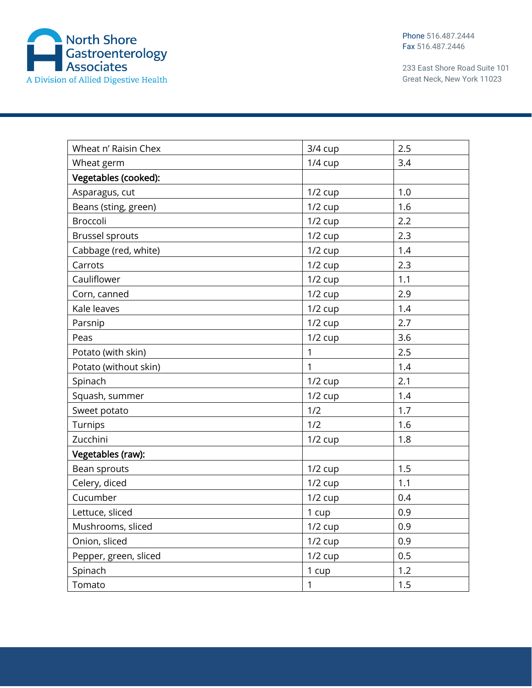

| 3/4 cup   | 2.5 |
|-----------|-----|
| 1/4 cup   | 3.4 |
|           |     |
| $1/2$ cup | 1.0 |
| $1/2$ cup | 1.6 |
| $1/2$ cup | 2.2 |
| $1/2$ cup | 2.3 |
| $1/2$ cup | 1.4 |
| $1/2$ cup | 2.3 |
| $1/2$ cup | 1.1 |
| $1/2$ cup | 2.9 |
| $1/2$ cup | 1.4 |
| $1/2$ cup | 2.7 |
| $1/2$ cup | 3.6 |
| 1         | 2.5 |
| 1         | 1.4 |
| $1/2$ cup | 2.1 |
| $1/2$ cup | 1.4 |
| 1/2       | 1.7 |
| 1/2       | 1.6 |
| $1/2$ cup | 1.8 |
|           |     |
| $1/2$ cup | 1.5 |
| $1/2$ cup | 1.1 |
| $1/2$ cup | 0.4 |
| 1 cup     | 0.9 |
| $1/2$ cup | 0.9 |
| $1/2$ cup | 0.9 |
| $1/2$ cup | 0.5 |
| 1 cup     | 1.2 |
| 1         | 1.5 |
|           |     |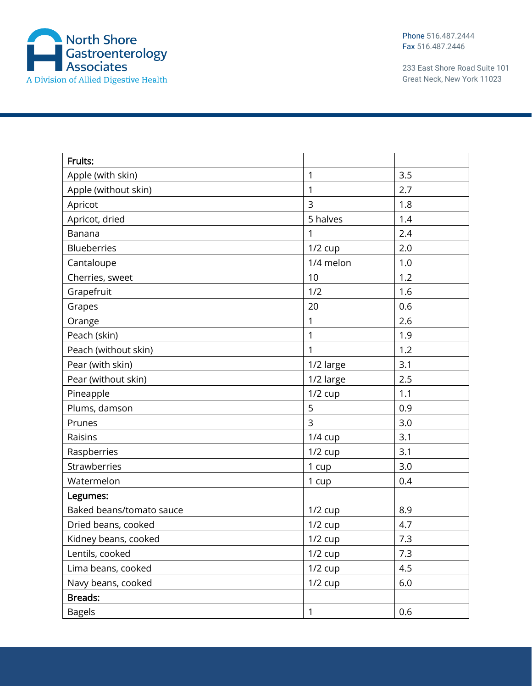

| Fruits:                  |              |     |  |  |
|--------------------------|--------------|-----|--|--|
| Apple (with skin)        | $\mathbf{1}$ |     |  |  |
| Apple (without skin)     | 1            | 2.7 |  |  |
| Apricot                  | 3            | 1.8 |  |  |
| Apricot, dried           | 5 halves     | 1.4 |  |  |
| Banana                   | 1            | 2.4 |  |  |
| <b>Blueberries</b>       | $1/2$ cup    | 2.0 |  |  |
| Cantaloupe               | 1/4 melon    | 1.0 |  |  |
| Cherries, sweet          | 10           | 1.2 |  |  |
| Grapefruit               | 1/2          | 1.6 |  |  |
| Grapes                   | 20           | 0.6 |  |  |
| Orange                   | 1            | 2.6 |  |  |
| Peach (skin)             | 1            | 1.9 |  |  |
| Peach (without skin)     | 1            | 1.2 |  |  |
| Pear (with skin)         | 1/2 large    | 3.1 |  |  |
| Pear (without skin)      | 1/2 large    | 2.5 |  |  |
| Pineapple                | $1/2$ cup    | 1.1 |  |  |
| Plums, damson            | 5            | 0.9 |  |  |
| Prunes                   | 3            | 3.0 |  |  |
| Raisins                  | $1/4$ cup    | 3.1 |  |  |
| Raspberries              | $1/2$ cup    | 3.1 |  |  |
| Strawberries             | 1 cup        | 3.0 |  |  |
| Watermelon               | 1 cup        | 0.4 |  |  |
| Legumes:                 |              |     |  |  |
| Baked beans/tomato sauce | $1/2$ cup    | 8.9 |  |  |
| Dried beans, cooked      | $1/2$ cup    | 4.7 |  |  |
| Kidney beans, cooked     | $1/2$ cup    | 7.3 |  |  |
| Lentils, cooked          | $1/2$ cup    | 7.3 |  |  |
| Lima beans, cooked       | $1/2$ cup    | 4.5 |  |  |
| Navy beans, cooked       | $1/2$ cup    | 6.0 |  |  |
| <b>Breads:</b>           |              |     |  |  |
| <b>Bagels</b>            | $\mathbf{1}$ | 0.6 |  |  |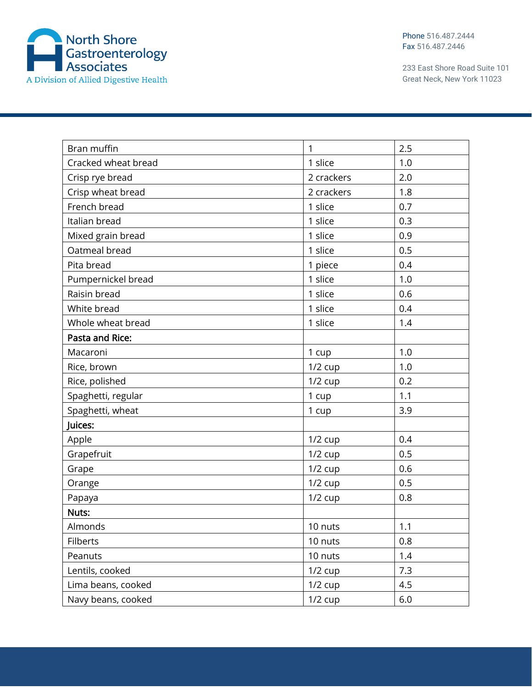

| Bran muffin         | $\mathbf{1}$ | 2.5 |
|---------------------|--------------|-----|
| Cracked wheat bread | 1 slice      | 1.0 |
| Crisp rye bread     | 2 crackers   | 2.0 |
| Crisp wheat bread   | 2 crackers   | 1.8 |
| French bread        | 1 slice      | 0.7 |
| Italian bread       | 1 slice      | 0.3 |
| Mixed grain bread   | 1 slice      | 0.9 |
| Oatmeal bread       | 1 slice      | 0.5 |
| Pita bread          | 1 piece      | 0.4 |
| Pumpernickel bread  | 1 slice      | 1.0 |
| Raisin bread        | 1 slice      | 0.6 |
| White bread         | 1 slice      | 0.4 |
| Whole wheat bread   | 1 slice      | 1.4 |
| Pasta and Rice:     |              |     |
| Macaroni            | 1 cup        | 1.0 |
| Rice, brown         | $1/2$ cup    | 1.0 |
| Rice, polished      | $1/2$ cup    | 0.2 |
| Spaghetti, regular  | 1 cup        | 1.1 |
| Spaghetti, wheat    | 1 cup        | 3.9 |
| Juices:             |              |     |
| Apple               | $1/2$ cup    | 0.4 |
| Grapefruit          | $1/2$ cup    | 0.5 |
| Grape               | $1/2$ cup    | 0.6 |
| Orange              | $1/2$ cup    | 0.5 |
| Papaya              | $1/2$ cup    | 0.8 |
| Nuts:               |              |     |
| Almonds             | 10 nuts      | 1.1 |
| <b>Filberts</b>     | 10 nuts      | 0.8 |
| Peanuts             | 10 nuts      | 1.4 |
| Lentils, cooked     | $1/2$ cup    | 7.3 |
| Lima beans, cooked  | $1/2$ cup    | 4.5 |
| Navy beans, cooked  | $1/2$ cup    | 6.0 |